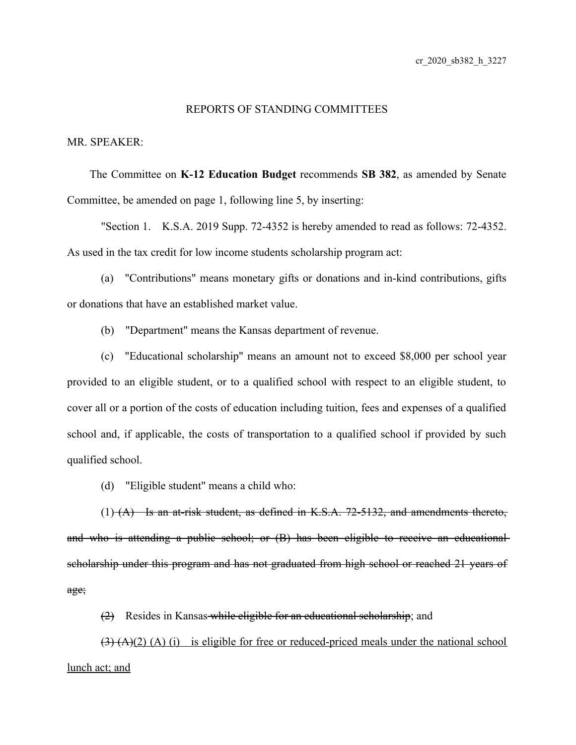## REPORTS OF STANDING COMMITTEES

## MR. SPEAKER:

The Committee on **K-12 Education Budget** recommends **SB 382**, as amended by Senate Committee, be amended on page 1, following line 5, by inserting:

"Section 1. K.S.A. 2019 Supp. 72-4352 is hereby amended to read as follows: 72-4352. As used in the tax credit for low income students scholarship program act:

(a) "Contributions" means monetary gifts or donations and in-kind contributions, gifts or donations that have an established market value.

(b) "Department" means the Kansas department of revenue.

(c) "Educational scholarship" means an amount not to exceed \$8,000 per school year provided to an eligible student, or to a qualified school with respect to an eligible student, to cover all or a portion of the costs of education including tuition, fees and expenses of a qualified school and, if applicable, the costs of transportation to a qualified school if provided by such qualified school.

(d) "Eligible student" means a child who:

(1) (A) Is an at-risk student, as defined in K.S.A. 72-5132, and amendments thereto, and who is attending a public school; or (B) has been eligible to receive an educationalscholarship under this program and has not graduated from high school or reached 21 years of age;

(2) Resides in Kansas while eligible for an educational scholarship; and

 $(3)$   $(A)(2)$   $(A)$   $(i)$  is eligible for free or reduced-priced meals under the national school lunch act; and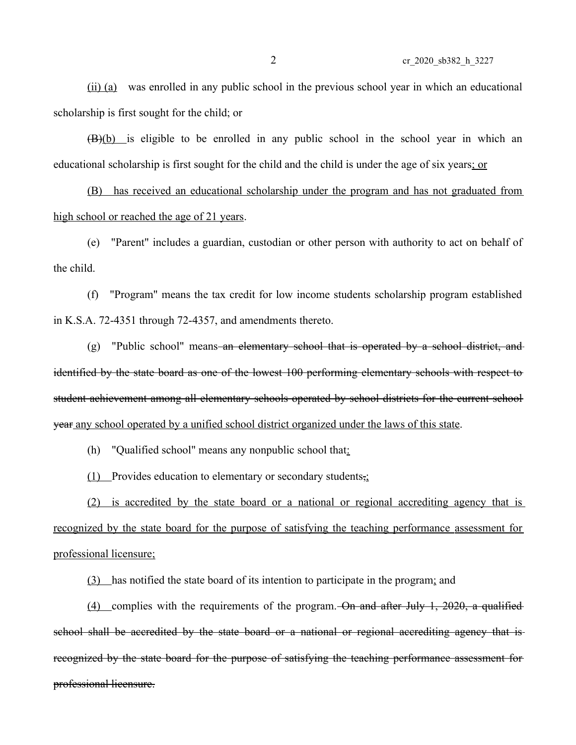2 cr\_2020\_sb382\_h\_3227

(ii) (a) was enrolled in any public school in the previous school year in which an educational scholarship is first sought for the child; or

(B)(b) is eligible to be enrolled in any public school in the school year in which an educational scholarship is first sought for the child and the child is under the age of six years; or

(B) has received an educational scholarship under the program and has not graduated from high school or reached the age of 21 years.

(e) "Parent" includes a guardian, custodian or other person with authority to act on behalf of the child.

(f) "Program" means the tax credit for low income students scholarship program established in K.S.A. 72-4351 through 72-4357, and amendments thereto.

(g) "Public school" means an elementary school that is operated by a school district, and identified by the state board as one of the lowest 100 performing elementary schools with respect to student achievement among all elementary schools operated by school districts for the current school year any school operated by a unified school district organized under the laws of this state.

(h) "Qualified school" means any nonpublic school that:

( 1) Provides education to elementary or secondary students,;

 ( 2) is accredited by the state board or a national or regional accrediting agency that is recognized by the state board for the purpose of satisfying the teaching performance assessment for professional licensure;

( 3) has notified the state board of its intention to participate in the program; and

(4) complies with the requirements of the program. On and after July 1, 2020, a qualifiedschool shall be accredited by the state board or a national or regional accrediting agency that isrecognized by the state board for the purpose of satisfying the teaching performance assessment for professional licensure.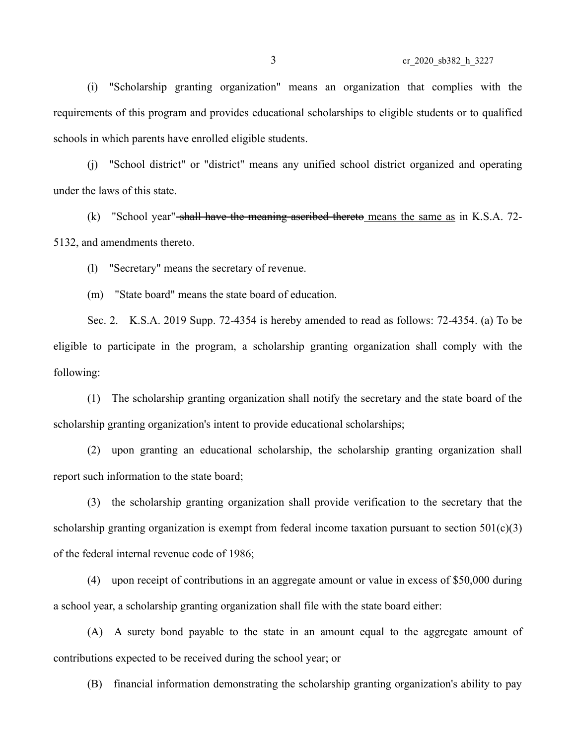(i) "Scholarship granting organization" means an organization that complies with the requirements of this program and provides educational scholarships to eligible students or to qualified schools in which parents have enrolled eligible students.

(j) "School district" or "district" means any unified school district organized and operating under the laws of this state.

(k) "School year" shall have the meaning ascribed thereto means the same as in K.S.A. 72- 5132, and amendments thereto.

(l) "Secretary" means the secretary of revenue.

(m) "State board" means the state board of education.

Sec. 2. K.S.A. 2019 Supp. 72-4354 is hereby amended to read as follows: 72-4354. (a) To be eligible to participate in the program, a scholarship granting organization shall comply with the following:

(1) The scholarship granting organization shall notify the secretary and the state board of the scholarship granting organization's intent to provide educational scholarships;

(2) upon granting an educational scholarship, the scholarship granting organization shall report such information to the state board;

(3) the scholarship granting organization shall provide verification to the secretary that the scholarship granting organization is exempt from federal income taxation pursuant to section  $501(c)(3)$ of the federal internal revenue code of 1986;

(4) upon receipt of contributions in an aggregate amount or value in excess of \$50,000 during a school year, a scholarship granting organization shall file with the state board either:

(A) A surety bond payable to the state in an amount equal to the aggregate amount of contributions expected to be received during the school year; or

(B) financial information demonstrating the scholarship granting organization's ability to pay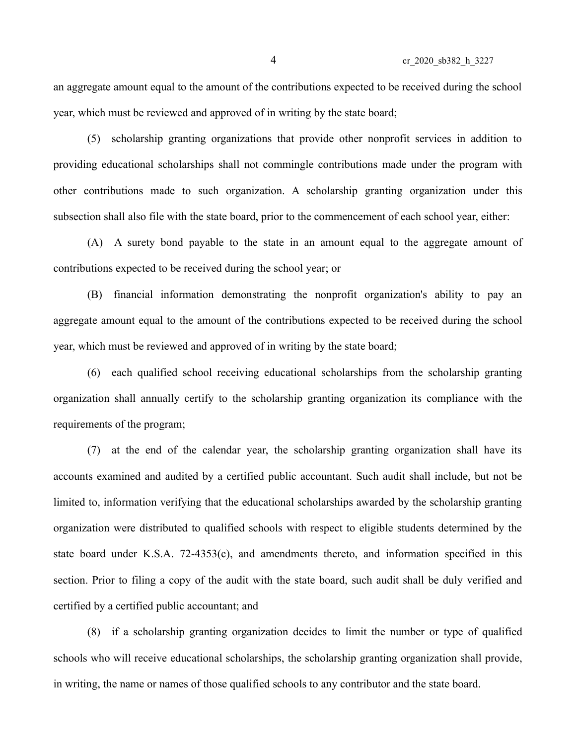an aggregate amount equal to the amount of the contributions expected to be received during the school year, which must be reviewed and approved of in writing by the state board;

(5) scholarship granting organizations that provide other nonprofit services in addition to providing educational scholarships shall not commingle contributions made under the program with other contributions made to such organization. A scholarship granting organization under this subsection shall also file with the state board, prior to the commencement of each school year, either:

(A) A surety bond payable to the state in an amount equal to the aggregate amount of contributions expected to be received during the school year; or

(B) financial information demonstrating the nonprofit organization's ability to pay an aggregate amount equal to the amount of the contributions expected to be received during the school year, which must be reviewed and approved of in writing by the state board;

(6) each qualified school receiving educational scholarships from the scholarship granting organization shall annually certify to the scholarship granting organization its compliance with the requirements of the program;

(7) at the end of the calendar year, the scholarship granting organization shall have its accounts examined and audited by a certified public accountant. Such audit shall include, but not be limited to, information verifying that the educational scholarships awarded by the scholarship granting organization were distributed to qualified schools with respect to eligible students determined by the state board under K.S.A. 72-4353(c), and amendments thereto, and information specified in this section. Prior to filing a copy of the audit with the state board, such audit shall be duly verified and certified by a certified public accountant; and

(8) if a scholarship granting organization decides to limit the number or type of qualified schools who will receive educational scholarships, the scholarship granting organization shall provide, in writing, the name or names of those qualified schools to any contributor and the state board.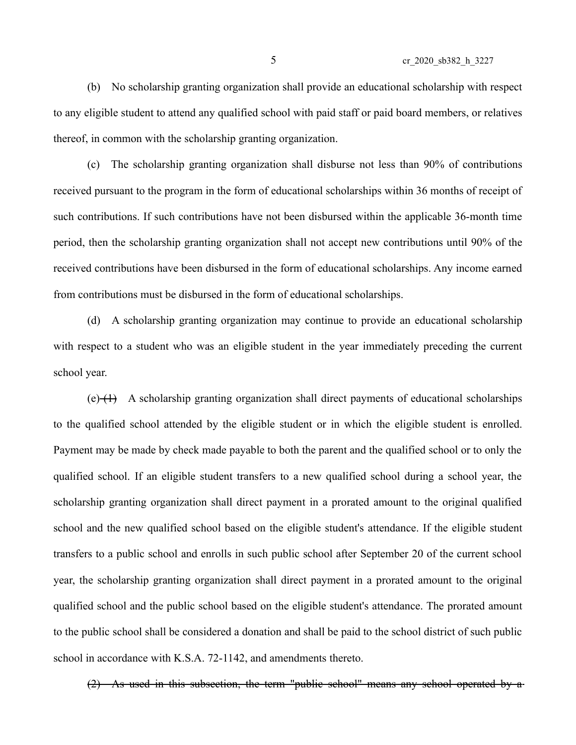(b) No scholarship granting organization shall provide an educational scholarship with respect to any eligible student to attend any qualified school with paid staff or paid board members, or relatives thereof, in common with the scholarship granting organization.

(c) The scholarship granting organization shall disburse not less than 90% of contributions received pursuant to the program in the form of educational scholarships within 36 months of receipt of such contributions. If such contributions have not been disbursed within the applicable 36-month time period, then the scholarship granting organization shall not accept new contributions until 90% of the received contributions have been disbursed in the form of educational scholarships. Any income earned from contributions must be disbursed in the form of educational scholarships.

(d) A scholarship granting organization may continue to provide an educational scholarship with respect to a student who was an eligible student in the year immediately preceding the current school year.

 $(e)$  (e)  $(1)$  A scholarship granting organization shall direct payments of educational scholarships to the qualified school attended by the eligible student or in which the eligible student is enrolled. Payment may be made by check made payable to both the parent and the qualified school or to only the qualified school. If an eligible student transfers to a new qualified school during a school year, the scholarship granting organization shall direct payment in a prorated amount to the original qualified school and the new qualified school based on the eligible student's attendance. If the eligible student transfers to a public school and enrolls in such public school after September 20 of the current school year, the scholarship granting organization shall direct payment in a prorated amount to the original qualified school and the public school based on the eligible student's attendance. The prorated amount to the public school shall be considered a donation and shall be paid to the school district of such public school in accordance with K.S.A. 72-1142, and amendments thereto.

(2) As used in this subsection, the term "public school" means any school operated by a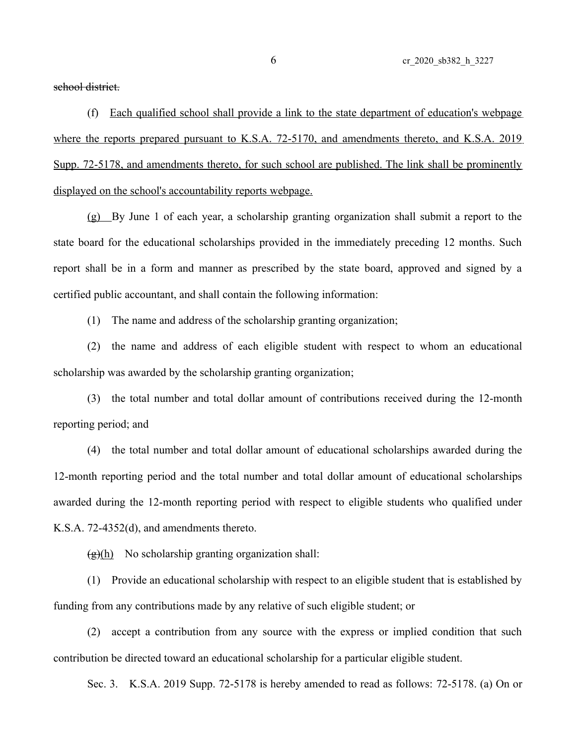6 cr\_2020\_sb382\_h\_3227

school district.

(f) Each qualified school shall provide a link to the state department of education's webpage where the reports prepared pursuant to K.S.A. 72-5170, and amendments thereto, and K.S.A. 2019 Supp. 72-5178, and amendments thereto, for such school are published. The link shall be prominently displayed on the school's accountability reports webpage.

(g) By June 1 of each year, a scholarship granting organization shall submit a report to the state board for the educational scholarships provided in the immediately preceding 12 months. Such report shall be in a form and manner as prescribed by the state board, approved and signed by a certified public accountant, and shall contain the following information:

(1) The name and address of the scholarship granting organization;

(2) the name and address of each eligible student with respect to whom an educational scholarship was awarded by the scholarship granting organization;

(3) the total number and total dollar amount of contributions received during the 12-month reporting period; and

(4) the total number and total dollar amount of educational scholarships awarded during the 12-month reporting period and the total number and total dollar amount of educational scholarships awarded during the 12-month reporting period with respect to eligible students who qualified under K.S.A. 72-4352(d), and amendments thereto.

 $\left(\frac{e}{e}\right)$  No scholarship granting organization shall:

(1) Provide an educational scholarship with respect to an eligible student that is established by funding from any contributions made by any relative of such eligible student; or

(2) accept a contribution from any source with the express or implied condition that such contribution be directed toward an educational scholarship for a particular eligible student.

Sec. 3. K.S.A. 2019 Supp. 72-5178 is hereby amended to read as follows: 72-5178. (a) On or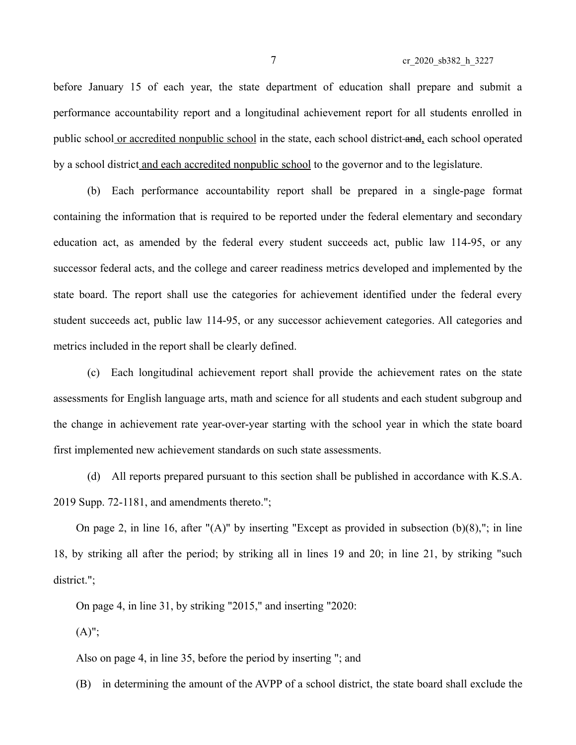before January 15 of each year, the state department of education shall prepare and submit a performance accountability report and a longitudinal achievement report for all students enrolled in public school or accredited nonpublic school in the state, each school district and, each school operated by a school district and each accredited nonpublic school to the governor and to the legislature.

(b) Each performance accountability report shall be prepared in a single-page format containing the information that is required to be reported under the federal elementary and secondary education act, as amended by the federal every student succeeds act, public law 114-95, or any successor federal acts, and the college and career readiness metrics developed and implemented by the state board. The report shall use the categories for achievement identified under the federal every student succeeds act, public law 114-95, or any successor achievement categories. All categories and metrics included in the report shall be clearly defined.

(c) Each longitudinal achievement report shall provide the achievement rates on the state assessments for English language arts, math and science for all students and each student subgroup and the change in achievement rate year-over-year starting with the school year in which the state board first implemented new achievement standards on such state assessments.

(d) All reports prepared pursuant to this section shall be published in accordance with K.S.A. 2019 Supp. 72-1181, and amendments thereto.";

On page 2, in line 16, after " $(A)$ " by inserting "Except as provided in subsection  $(b)(8)$ ,"; in line 18, by striking all after the period; by striking all in lines 19 and 20; in line 21, by striking "such district.";

On page 4, in line 31, by striking "2015," and inserting "2020:

 $(A)$ ";

Also on page 4, in line 35, before the period by inserting "; and

(B) in determining the amount of the AVPP of a school district, the state board shall exclude the